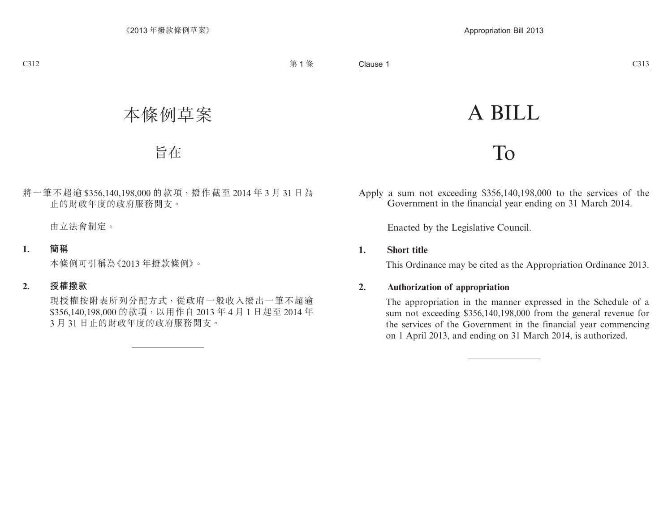# A BILL

## To

Apply a sum not exceeding \$356,140,198,000 to the services of the Government in the financial year ending on 31 March 2014.

Enacted by the Legislative Council.

#### **1. Short title**

This Ordinance may be cited as the Appropriation Ordinance 2013.

### **2. Authorization of appropriation**

The appropriation in the manner expressed in the Schedule of a sum not exceeding \$356,140,198,000 from the general revenue for the services of the Government in the financial year commencing on 1 April 2013, and ending on 31 March 2014, is authorized.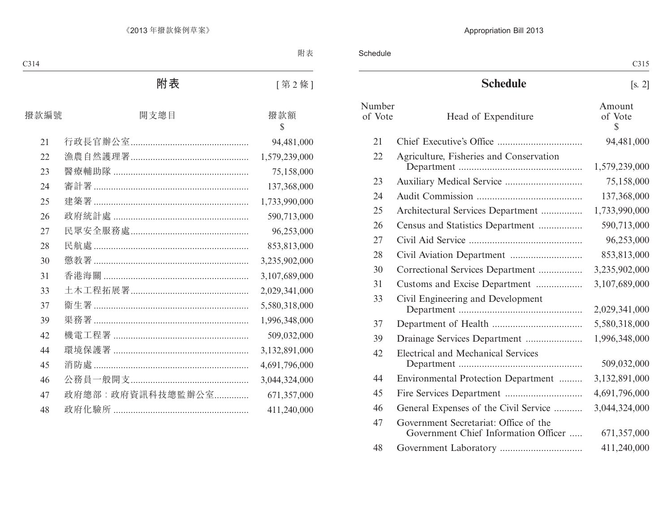|                   |                                                                               | C315                              |
|-------------------|-------------------------------------------------------------------------------|-----------------------------------|
|                   | <b>Schedule</b>                                                               | [s, 2]                            |
| Number<br>of Vote | Head of Expenditure                                                           | Amount<br>of Vote<br>$\mathbb{S}$ |
| 21                |                                                                               | 94,481,000                        |
| 22                | Agriculture, Fisheries and Conservation                                       | 1,579,239,000                     |
| 23                |                                                                               | 75,158,000                        |
| 24                |                                                                               | 137,368,000                       |
| 25                | Architectural Services Department                                             | 1,733,990,000                     |
| 26                | Census and Statistics Department                                              | 590,713,000                       |
| 27                |                                                                               | 96,253,000                        |
| 28                |                                                                               | 853,813,000                       |
| 30                | Correctional Services Department                                              | 3,235,902,000                     |
| 31                | Customs and Excise Department                                                 | 3,107,689,000                     |
| 33                | Civil Engineering and Development                                             | 2,029,341,000                     |
| 37                |                                                                               | 5,580,318,000                     |
| 39                | Drainage Services Department                                                  | 1,996,348,000                     |
| 42                | <b>Electrical and Mechanical Services</b>                                     | 509,032,000                       |
| 44                | Environmental Protection Department                                           | 3,132,891,000                     |
| 45                |                                                                               | 4,691,796,000                     |
| 46                | General Expenses of the Civil Service                                         | 3,044,324,000                     |
| 47                | Government Secretariat: Office of the<br>Government Chief Information Officer | 671,357,000                       |
| 48                |                                                                               | 411,240,000                       |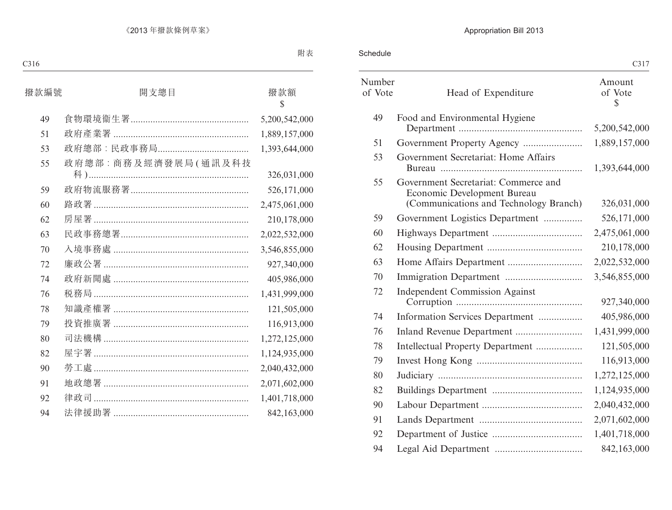|                   |                                                                                                               | C317                    |
|-------------------|---------------------------------------------------------------------------------------------------------------|-------------------------|
| Number<br>of Vote | Head of Expenditure                                                                                           | Amount<br>of Vote<br>\$ |
| 49                | Food and Environmental Hygiene                                                                                | 5,200,542,000           |
| 51                |                                                                                                               | 1,889,157,000           |
| 53                | Government Secretariat: Home Affairs                                                                          | 1,393,644,000           |
| 55                | Government Secretariat: Commerce and<br>Economic Development Bureau<br>(Communications and Technology Branch) | 326,031,000             |
| 59                | Government Logistics Department                                                                               | 526,171,000             |
| 60                |                                                                                                               | 2,475,061,000           |
| 62                |                                                                                                               | 210,178,000             |
| 63                |                                                                                                               | 2,022,532,000           |
| 70                |                                                                                                               | 3,546,855,000           |
| 72                | <b>Independent Commission Against</b>                                                                         | 927,340,000             |
| 74                | Information Services Department                                                                               | 405,986,000             |
| 76                |                                                                                                               | 1,431,999,000           |
| 78                | Intellectual Property Department                                                                              | 121,505,000             |
| 79                |                                                                                                               | 116,913,000             |
| 80                |                                                                                                               | 1,272,125,000           |
| 82                |                                                                                                               | 1,124,935,000           |
| 90                |                                                                                                               | 2,040,432,000           |
| 91                |                                                                                                               | 2,071,602,000           |
| 92                |                                                                                                               | 1,401,718,000           |
| 94                |                                                                                                               | 842,163,000             |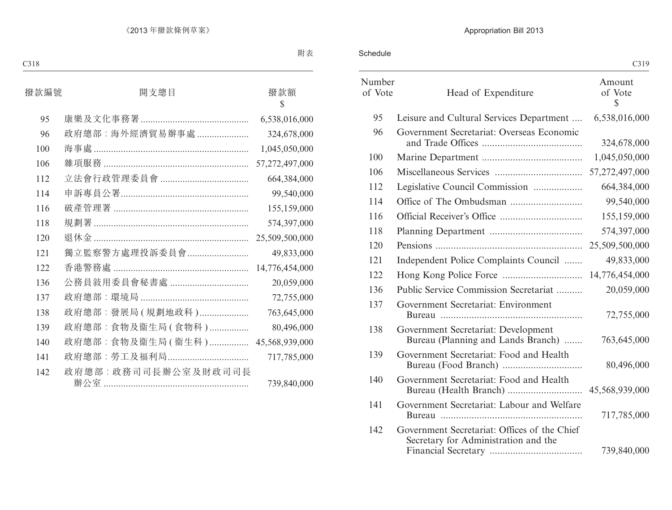|                   |                                                                                      | C319                    |
|-------------------|--------------------------------------------------------------------------------------|-------------------------|
| Number<br>of Vote | Head of Expenditure                                                                  | Amount<br>of Vote<br>\$ |
| 95                | Leisure and Cultural Services Department                                             | 6,538,016,000           |
| 96                | Government Secretariat: Overseas Economic                                            | 324,678,000             |
| 100               |                                                                                      | 1,045,050,000           |
| 106               |                                                                                      | 57,272,497,000          |
| 112               | Legislative Council Commission                                                       | 664,384,000             |
| 114               |                                                                                      | 99,540,000              |
| 116               |                                                                                      | 155,159,000             |
| 118               |                                                                                      | 574,397,000             |
| 120               |                                                                                      | 25,509,500,000          |
| 121               | Independent Police Complaints Council                                                | 49,833,000              |
| 122               |                                                                                      | 14,776,454,000          |
| 136               | Public Service Commission Secretariat                                                | 20,059,000              |
| 137               | Government Secretariat: Environment                                                  | 72,755,000              |
| 138               | Government Secretariat: Development<br>Bureau (Planning and Lands Branch)            | 763,645,000             |
| 139               | Government Secretariat: Food and Health                                              | 80,496,000              |
| 140               | Government Secretariat: Food and Health                                              |                         |
| 141               | Government Secretariat: Labour and Welfare                                           | 717,785,000             |
| 142               | Government Secretariat: Offices of the Chief<br>Secretary for Administration and the | 739,840,000             |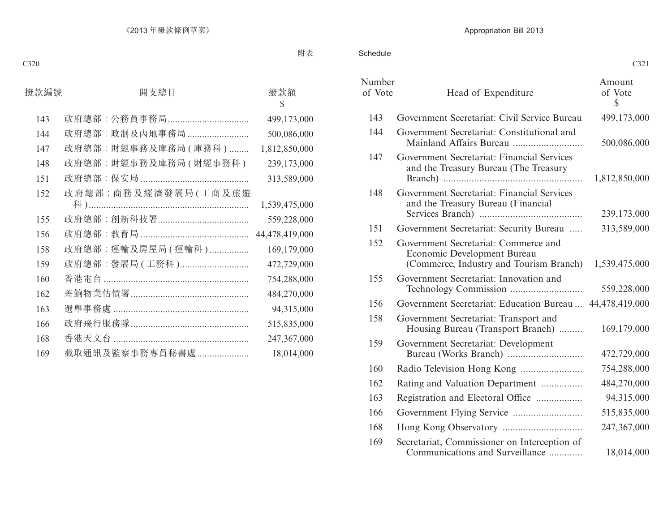|                   |                                                                                                                | C321                    |
|-------------------|----------------------------------------------------------------------------------------------------------------|-------------------------|
| Number<br>of Vote | Head of Expenditure                                                                                            | Amount<br>of Vote<br>\$ |
| 143               | Government Secretariat: Civil Service Bureau                                                                   | 499,173,000             |
| 144               | Government Secretariat: Constitutional and                                                                     | 500,086,000             |
| 147               | Government Secretariat: Financial Services<br>and the Treasury Bureau (The Treasury                            | 1,812,850,000           |
| 148               | Government Secretariat: Financial Services<br>and the Treasury Bureau (Financial                               | 239,173,000             |
| 151               | Government Secretariat: Security Bureau                                                                        | 313,589,000             |
| 152               | Government Secretariat: Commerce and<br>Economic Development Bureau<br>(Commerce, Industry and Tourism Branch) | 1,539,475,000           |
| 155               | Government Secretariat: Innovation and                                                                         | 559,228,000             |
| 156               | Government Secretariat: Education Bureau                                                                       | 44,478,419,000          |
| 158               | Government Secretariat: Transport and<br>Housing Bureau (Transport Branch)                                     | 169,179,000             |
| 159               | Government Secretariat: Development                                                                            | 472,729,000             |
| 160               |                                                                                                                | 754,288,000             |
| 162               | Rating and Valuation Department                                                                                | 484,270,000             |
| 163               | Registration and Electoral Office                                                                              | 94,315,000              |
| 166               |                                                                                                                | 515,835,000             |
| 168               |                                                                                                                | 247,367,000             |
| 169               | Secretariat, Commissioner on Interception of<br>Communications and Surveillance                                | 18,014,000              |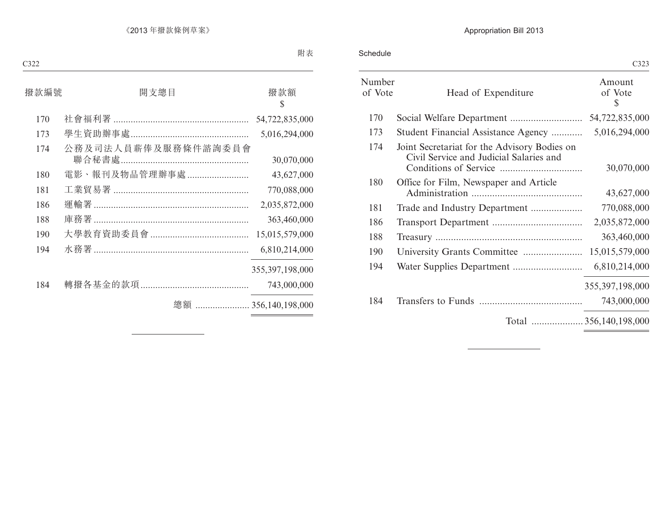Schedule

|                   |                                                                                         | C323                   |
|-------------------|-----------------------------------------------------------------------------------------|------------------------|
| Number<br>of Vote | Head of Expenditure                                                                     | Amount<br>of Vote<br>S |
| 170               |                                                                                         | 54,722,835,000         |
| 173               | Student Financial Assistance Agency                                                     | 5,016,294,000          |
| 174               | Joint Secretariat for the Advisory Bodies on<br>Civil Service and Judicial Salaries and | 30,070,000             |
| 180               | Office for Film, Newspaper and Article                                                  | 43,627,000             |
| 181               |                                                                                         | 770,088,000            |
| 186               |                                                                                         | 2,035,872,000          |
| 188               |                                                                                         | 363,460,000            |
| 190               |                                                                                         | 15,015,579,000         |
| 194               |                                                                                         | 6,810,214,000          |
|                   |                                                                                         | 355, 397, 198, 000     |
| 184               |                                                                                         | 743,000,000            |
|                   | Total 356,140,198,000                                                                   |                        |
|                   |                                                                                         |                        |

 $\overline{\phantom{a}}$ 

 $\overline{C}$